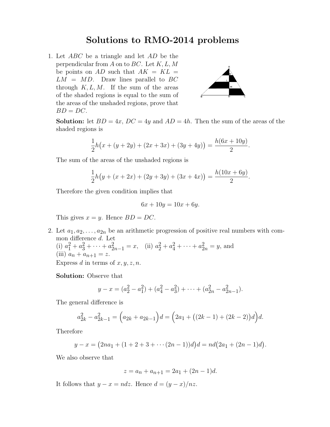## Solutions to RMO-2014 problems

1. Let ABC be a triangle and let AD be the perpendicular from A on to BC. Let  $K, L, M$ be points on AD such that  $AK = KL =$  $LM = MD$ . Draw lines parallel to BC through  $K, L, M$ . If the sum of the areas of the shaded regions is equal to the sum of the areas of the unshaded regions, prove that  $BD = DC$ .



**Solution:** let  $BD = 4x$ ,  $DC = 4y$  and  $AD = 4h$ . Then the sum of the areas of the shaded regions is

$$
\frac{1}{2}h(x + (y + 2y) + (2x + 3x) + (3y + 4y)) = \frac{h(6x + 10y)}{2}.
$$

The sum of the areas of the unshaded regions is

$$
\frac{1}{2}h(y + (x + 2x) + (2y + 3y) + (3x + 4x)) = \frac{h(10x + 6y)}{2}.
$$

Therefore the given condition implies that

$$
6x + 10y = 10x + 6y.
$$

This gives  $x = y$ . Hence  $BD = DC$ .

2. Let  $a_1, a_2, \ldots, a_{2n}$  be an arithmetic progression of positive real numbers with common difference d. Let (i)  $a_1^2 + a_3^2 + \cdots + a_{2n-1}^2 = x$ , (ii)  $a_2^2 + a_4^2 + \cdots + a_{2n}^2 = y$ , and (iii)  $a_n + a_{n+1} = z$ .

Express d in terms of  $x, y, z, n$ .

Solution: Observe that

$$
y - x = (a_2^2 - a_1^2) + (a_4^2 - a_3^2) + \dots + (a_{2n}^2 - a_{2n-1}^2).
$$

The general difference is

$$
a_{2k}^2 - a_{2k-1}^2 = (a_{2k} + a_{2k-1})d = (2a_1 + ((2k - 1) + (2k - 2))d)d.
$$

Therefore

$$
y - x = (2na1 + (1 + 2 + 3 + \cdots (2n - 1))d)d = nd(2a1 + (2n - 1)d).
$$

We also observe that

$$
z = a_n + a_{n+1} = 2a_1 + (2n - 1)d.
$$

It follows that  $y - x = ndz$ . Hence  $d = (y - x)/nz$ .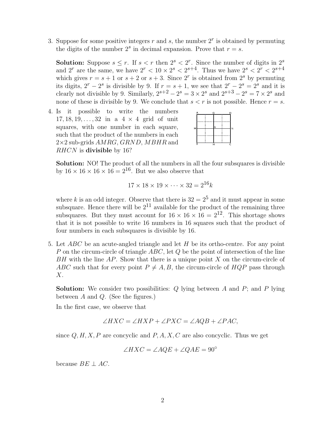3. Suppose for some positive integers  $r$  and  $s$ , the number  $2<sup>r</sup>$  is obtained by permuting the digits of the number  $2<sup>s</sup>$  in decimal expansion. Prove that  $r = s$ .

**Solution:** Suppose  $s \leq r$ . If  $s < r$  then  $2^s < 2^r$ . Since the number of digits in  $2^s$ and 2<sup>*r*</sup> are the same, we have  $2^r < 10 \times 2^s < 2^{s+4}$ . Thus we have  $2^s < 2^r < 2^{s+4}$ which gives  $r = s + 1$  or  $s + 2$  or  $s + 3$ . Since  $2<sup>r</sup>$  is obtained from  $2<sup>s</sup>$  by permuting its digits,  $2^r - 2^s$  is divisible by 9. If  $r = s + 1$ , we see that  $2^r - 2^s = 2^s$  and it is clearly not divisible by 9. Similarly,  $2^{s+2} - 2^s = 3 \times 2^s$  and  $2^{s+3} - 2^s = 7 \times 2^s$  and none of these is divisible by 9. We conclude that  $s < r$  is not possible. Hence  $r = s$ .

4. Is it possible to write the numbers  $17, 18, 19, \ldots, 32$  in a  $4 \times 4$  grid of unit squares, with one number in each square, such that the product of the numbers in each  $2\times2$  sub-grids  $AMRG$ ,  $GRND$ ,  $MBHR$  and RHCN is divisible by 16?



Solution: NO! The product of all the numbers in all the four subsquares is divisible by  $16 \times 16 \times 16 \times 16 = 2^{16}$ . But we also observe that

$$
17 \times 18 \times 19 \times \cdots \times 32 = 2^{16}k
$$

where k is an odd integer. Observe that there is  $32 = 2^5$  and it must appear in some subsquare. Hence there will be  $2^{11}$  available for the product of the remaining three subsquares. But they must account for  $16 \times 16 \times 16 = 2^{12}$ . This shortage shows that it is not possible to write 16 numbers in 16 squares such that the product of four numbers in each subsquares is divisible by 16.

5. Let  $ABC$  be an acute-angled triangle and let H be its ortho-centre. For any point P on the circum-circle of triangle  $ABC$ , let  $Q$  be the point of intersection of the line  $BH$  with the line  $AP$ . Show that there is a unique point  $X$  on the circum-circle of ABC such that for every point  $P \neq A, B$ , the circum-circle of  $HQP$  pass through  $X$ .

**Solution:** We consider two possibilities:  $Q$  lying between  $A$  and  $P$ ; and  $P$  lying between  $A$  and  $Q$ . (See the figures.)

In the first case, we observe that

$$
\angle HXC = \angle HXP + \angle PXC = \angle AQB + \angle PAC,
$$

since  $Q, H, X, P$  are concyclic and  $P, A, X, C$  are also concyclic. Thus we get

$$
\angle HXC = \angle AQE + \angle QAE = 90^{\circ}
$$

because  $BE \perp AC$ .